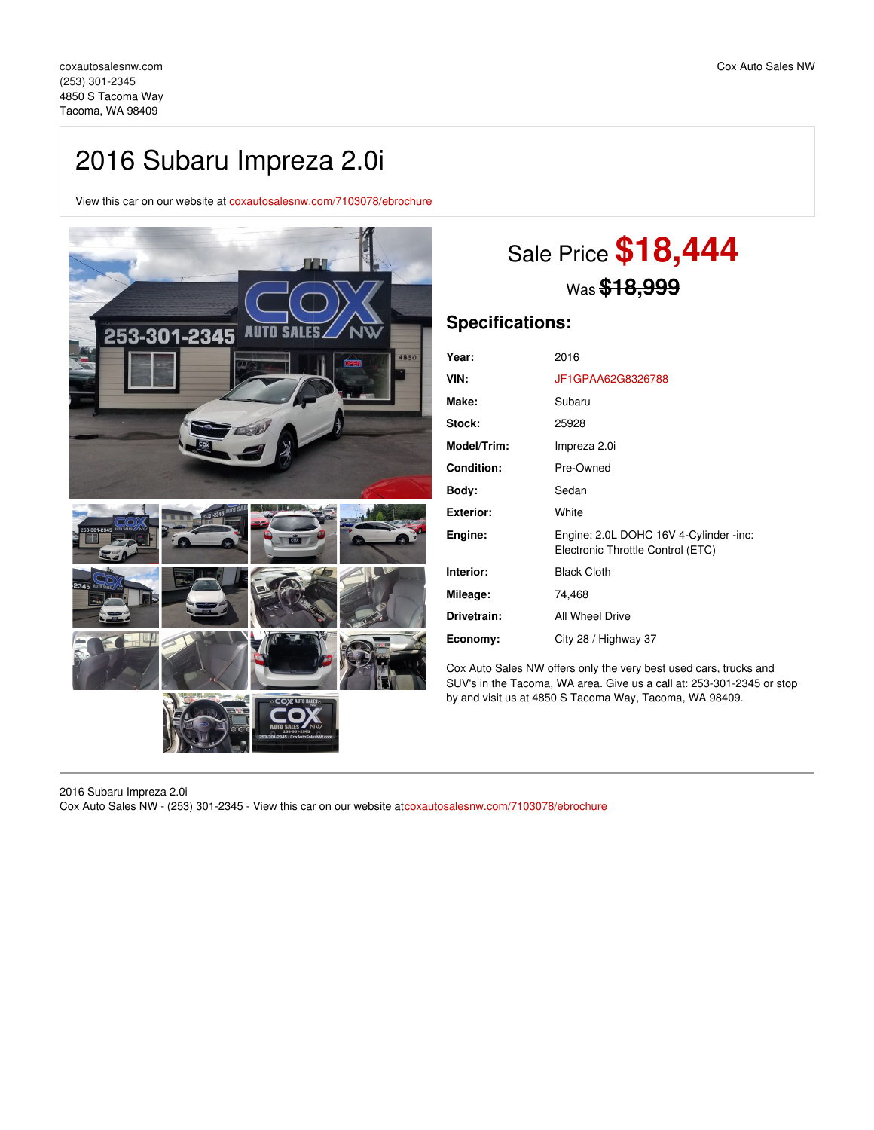## 2016 Subaru Impreza 2.0i

View this car on our website at [coxautosalesnw.com/7103078/ebrochure](https://coxautosalesnw.com/vehicle/7103078/2016-subaru-impreza-2-0i-tacoma-wa-98409/7103078/ebrochure)



# Sale Price **\$18,444** Was **\$18,999**

## **Specifications:**

| Year:              | 2016                                                                        |
|--------------------|-----------------------------------------------------------------------------|
| VIN:               | JF1GPAA62G8326788                                                           |
| Make:              | Subaru                                                                      |
| Stock:             | 25928                                                                       |
| <b>Model/Trim:</b> | Impreza 2.0i                                                                |
| <b>Condition:</b>  | Pre-Owned                                                                   |
| Body:              | Sedan                                                                       |
| Exterior:          | White                                                                       |
| Engine:            | Engine: 2.0L DOHC 16V 4-Cylinder -inc:<br>Electronic Throttle Control (ETC) |
| Interior:          | <b>Black Cloth</b>                                                          |
| Mileage:           | 74,468                                                                      |
| Drivetrain:        | All Wheel Drive                                                             |
| Economy:           | City 28 / Highway 37                                                        |

Cox Auto Sales NW offers only the very best used cars, trucks and SUV's in the Tacoma, WA area. Give us a call at: 253-301-2345 or stop by and visit us at 4850 S Tacoma Way, Tacoma, WA 98409.

2016 Subaru Impreza 2.0i Cox Auto Sales NW - (253) 301-2345 - View this car on our website at[coxautosalesnw.com/7103078/ebrochure](https://coxautosalesnw.com/vehicle/7103078/2016-subaru-impreza-2-0i-tacoma-wa-98409/7103078/ebrochure)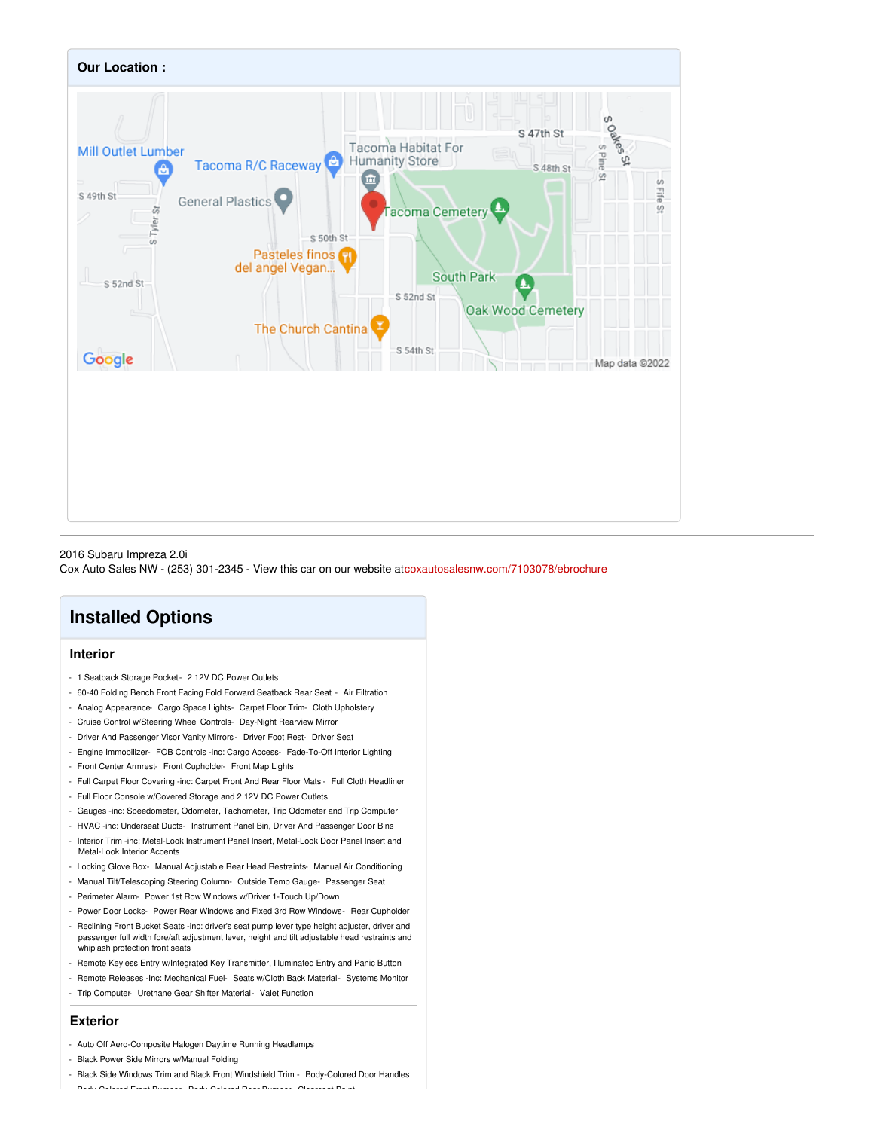

#### 2016 Subaru Impreza 2.0i

Cox Auto Sales NW - (253) 301-2345 - View this car on our website at[coxautosalesnw.com/7103078/ebrochure](https://coxautosalesnw.com/vehicle/7103078/2016-subaru-impreza-2-0i-tacoma-wa-98409/7103078/ebrochure)

## **Installed Options**

## **Interior**

- 1 Seatback Storage Pocket- 2 12V DC Power Outlets
- 60-40 Folding Bench Front Facing Fold Forward Seatback Rear Seat Air Filtration
- Analog Appearance- Cargo Space Lights- Carpet Floor Trim- Cloth Upholstery
- Cruise Control w/Steering Wheel Controls- Day-Night Rearview Mirror
- Driver And Passenger Visor Vanity Mirrors Driver Foot Rest- Driver Seat
- Engine Immobilizer- FOB Controls -inc: Cargo Access- Fade-To-Off Interior Lighting
- Front Center Armrest- Front Cupholder- Front Map Lights
- Full Carpet Floor Covering -inc: Carpet Front And Rear Floor Mats Full Cloth Headliner
- Full Floor Console w/Covered Storage and 2 12V DC Power Outlets
- Gauges -inc: Speedometer, Odometer, Tachometer, Trip Odometer and Trip Computer
- HVAC -inc: Underseat Ducts- Instrument Panel Bin, Driver And Passenger Door Bins
- Interior Trim -inc: Metal-Look Instrument Panel Insert, Metal-Look Door Panel Insert and Metal-Look Interior Accents
- Locking Glove Box- Manual Adjustable Rear Head Restraints- Manual Air Conditioning
- Manual Tilt/Telescoping Steering Column- Outside Temp Gauge- Passenger Seat
- Perimeter Alarm- Power 1st Row Windows w/Driver 1-Touch Up/Down
- Power Door Locks- Power Rear Windows and Fixed 3rd Row Windows- Rear Cupholder - Reclining Front Bucket Seats -inc: driver's seat pump lever type height adjuster, driver and passenger full width fore/aft adjustment lever, height and tilt adjustable head restraints and whiplash protection front seats
- Remote Keyless Entry w/Integrated Key Transmitter, Illuminated Entry and Panic Button
- Remote Releases -Inc: Mechanical Fuel- Seats w/Cloth Back Material- Systems Monitor
- Trip Computer- Urethane Gear Shifter Material- Valet Function

## **Exterior**

- Auto Off Aero-Composite Halogen Daytime Running Headlamps
- Black Power Side Mirrors w/Manual Folding
- Black Side Windows Trim and Black Front Windshield Trim Body-Colored Door Handles - Body-Colored Front Bumper- Body-Colored Rear Bumper- Clearcoat Paint